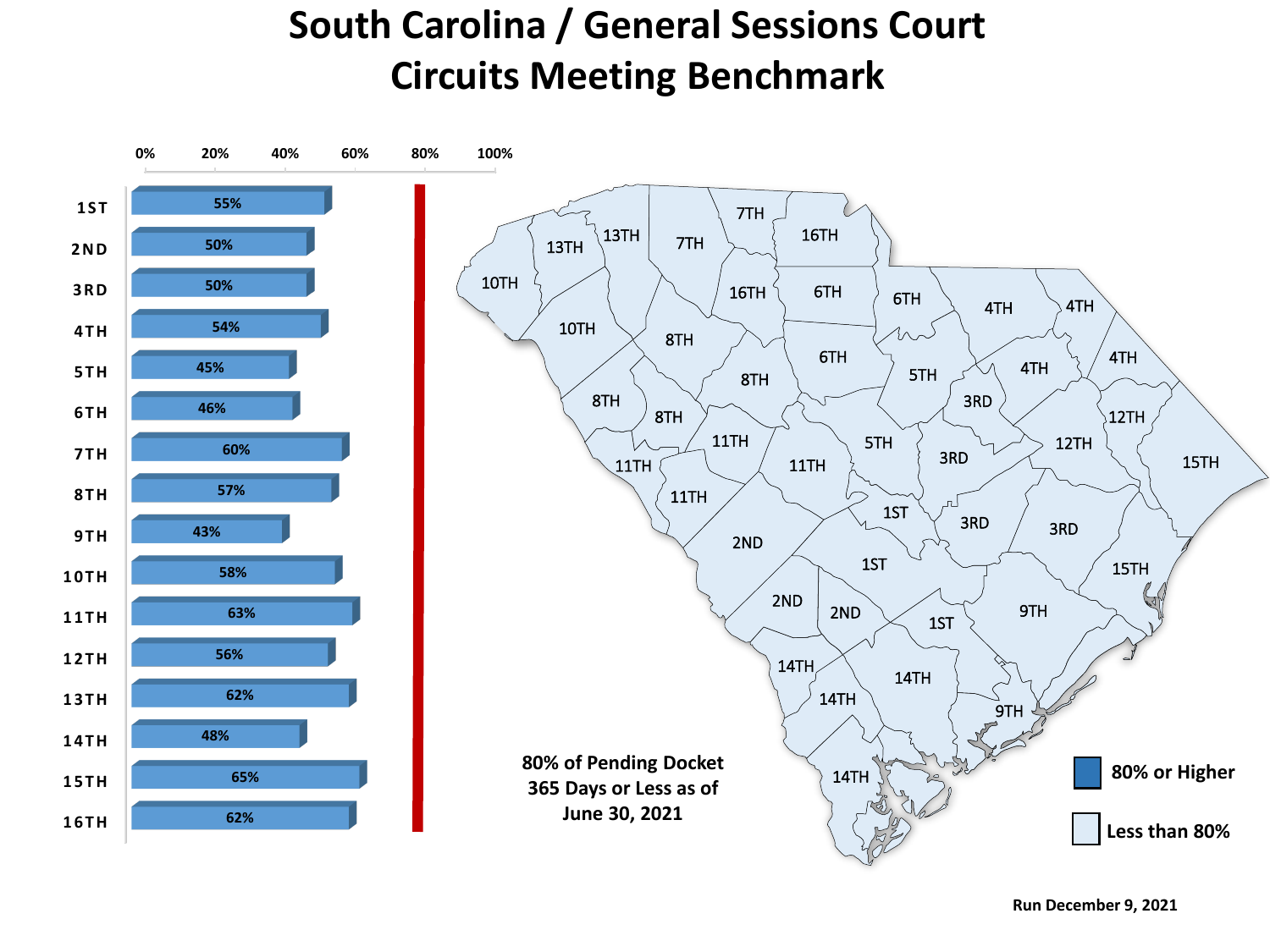## **South Carolina / General Sessions Court Circuits Meeting Benchmark**